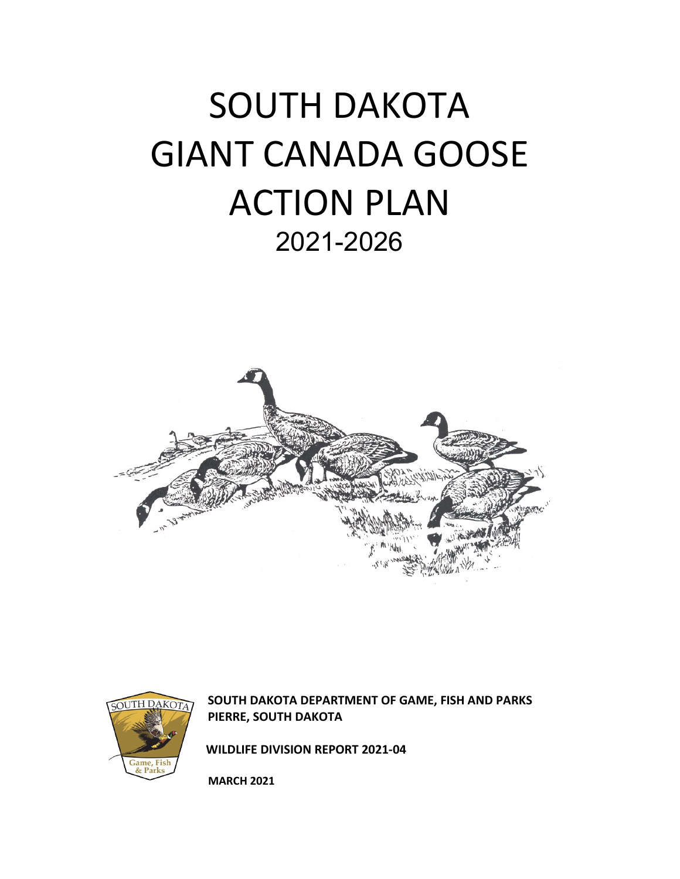# SOUTH DAKOTA GIANT CANADA GOOSE ACTION PLAN 2021-2026





**SOUTH DAKOTA DEPARTMENT OF GAME, FISH AND PARKS PIERRE, SOUTH DAKOTA**

 **WILDLIFE DIVISION REPORT 2021-04** 

**MARCH 2021**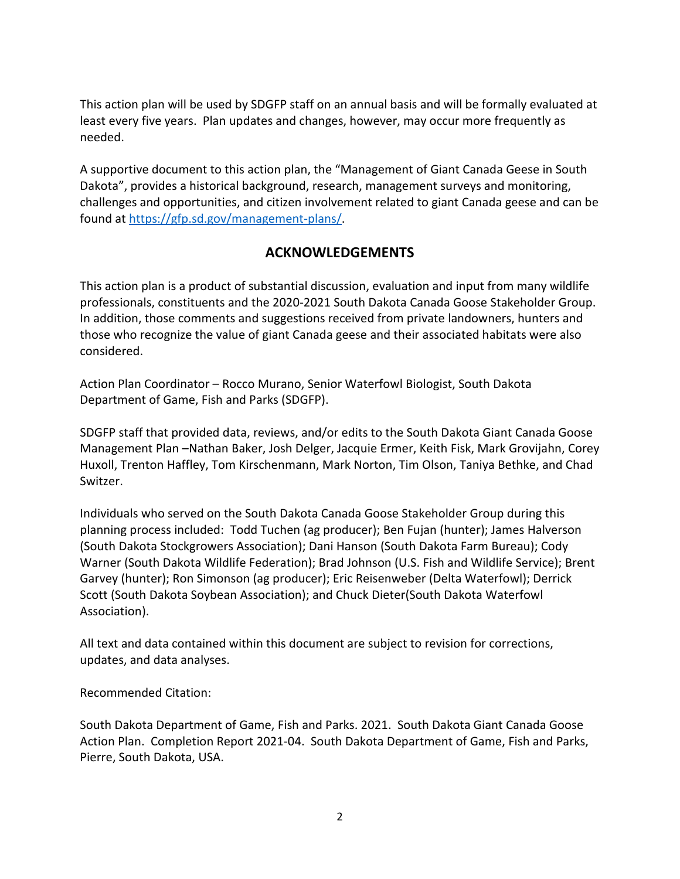This action plan will be used by SDGFP staff on an annual basis and will be formally evaluated at least every five years. Plan updates and changes, however, may occur more frequently as needed.

A supportive document to this action plan, the "Management of Giant Canada Geese in South Dakota", provides a historical background, research, management surveys and monitoring, challenges and opportunities, and citizen involvement related to giant Canada geese and can be found at [https://gfp.sd.gov/management-plans/.](https://gfp.sd.gov/management-plans/)

# **ACKNOWLEDGEMENTS**

This action plan is a product of substantial discussion, evaluation and input from many wildlife professionals, constituents and the 2020-2021 South Dakota Canada Goose Stakeholder Group. In addition, those comments and suggestions received from private landowners, hunters and those who recognize the value of giant Canada geese and their associated habitats were also considered.

Action Plan Coordinator – Rocco Murano, Senior Waterfowl Biologist, South Dakota Department of Game, Fish and Parks (SDGFP).

SDGFP staff that provided data, reviews, and/or edits to the South Dakota Giant Canada Goose Management Plan –Nathan Baker, Josh Delger, Jacquie Ermer, Keith Fisk, Mark Grovijahn, Corey Huxoll, Trenton Haffley, Tom Kirschenmann, Mark Norton, Tim Olson, Taniya Bethke, and Chad Switzer.

Individuals who served on the South Dakota Canada Goose Stakeholder Group during this planning process included: Todd Tuchen (ag producer); Ben Fujan (hunter); James Halverson (South Dakota Stockgrowers Association); Dani Hanson (South Dakota Farm Bureau); Cody Warner (South Dakota Wildlife Federation); Brad Johnson (U.S. Fish and Wildlife Service); Brent Garvey (hunter); Ron Simonson (ag producer); Eric Reisenweber (Delta Waterfowl); Derrick Scott (South Dakota Soybean Association); and Chuck Dieter(South Dakota Waterfowl Association).

All text and data contained within this document are subject to revision for corrections, updates, and data analyses.

Recommended Citation:

South Dakota Department of Game, Fish and Parks. 2021. South Dakota Giant Canada Goose Action Plan. Completion Report 2021-04. South Dakota Department of Game, Fish and Parks, Pierre, South Dakota, USA.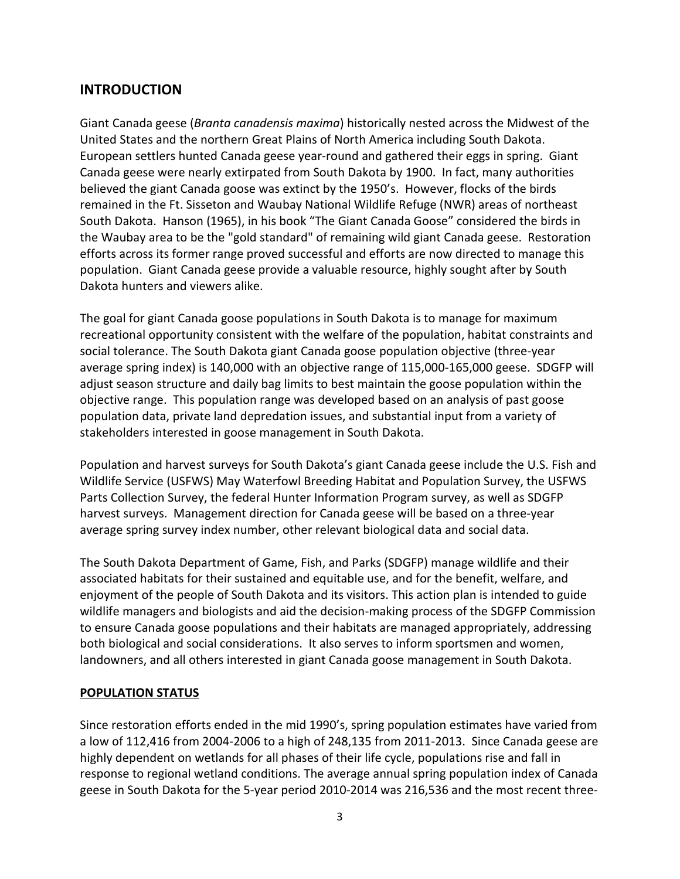# **INTRODUCTION**

Giant Canada geese (*Branta canadensis maxima*) historically nested across the Midwest of the United States and the northern Great Plains of North America including South Dakota. European settlers hunted Canada geese year-round and gathered their eggs in spring. Giant Canada geese were nearly extirpated from South Dakota by 1900. In fact, many authorities believed the giant Canada goose was extinct by the 1950's. However, flocks of the birds remained in the Ft. Sisseton and Waubay National Wildlife Refuge (NWR) areas of northeast South Dakota. Hanson (1965), in his book "The Giant Canada Goose" considered the birds in the Waubay area to be the "gold standard" of remaining wild giant Canada geese. Restoration efforts across its former range proved successful and efforts are now directed to manage this population. Giant Canada geese provide a valuable resource, highly sought after by South Dakota hunters and viewers alike.

The goal for giant Canada goose populations in South Dakota is to manage for maximum recreational opportunity consistent with the welfare of the population, habitat constraints and social tolerance. The South Dakota giant Canada goose population objective (three-year average spring index) is 140,000 with an objective range of 115,000-165,000 geese. SDGFP will adjust season structure and daily bag limits to best maintain the goose population within the objective range. This population range was developed based on an analysis of past goose population data, private land depredation issues, and substantial input from a variety of stakeholders interested in goose management in South Dakota.

Population and harvest surveys for South Dakota's giant Canada geese include the U.S. Fish and Wildlife Service (USFWS) May Waterfowl Breeding Habitat and Population Survey, the USFWS Parts Collection Survey, the federal Hunter Information Program survey, as well as SDGFP harvest surveys. Management direction for Canada geese will be based on a three-year average spring survey index number, other relevant biological data and social data.

The South Dakota Department of Game, Fish, and Parks (SDGFP) manage wildlife and their associated habitats for their sustained and equitable use, and for the benefit, welfare, and enjoyment of the people of South Dakota and its visitors. This action plan is intended to guide wildlife managers and biologists and aid the decision-making process of the SDGFP Commission to ensure Canada goose populations and their habitats are managed appropriately, addressing both biological and social considerations. It also serves to inform sportsmen and women, landowners, and all others interested in giant Canada goose management in South Dakota.

# **POPULATION STATUS**

Since restoration efforts ended in the mid 1990's, spring population estimates have varied from a low of 112,416 from 2004-2006 to a high of 248,135 from 2011-2013. Since Canada geese are highly dependent on wetlands for all phases of their life cycle, populations rise and fall in response to regional wetland conditions. The average annual spring population index of Canada geese in South Dakota for the 5-year period 2010-2014 was 216,536 and the most recent three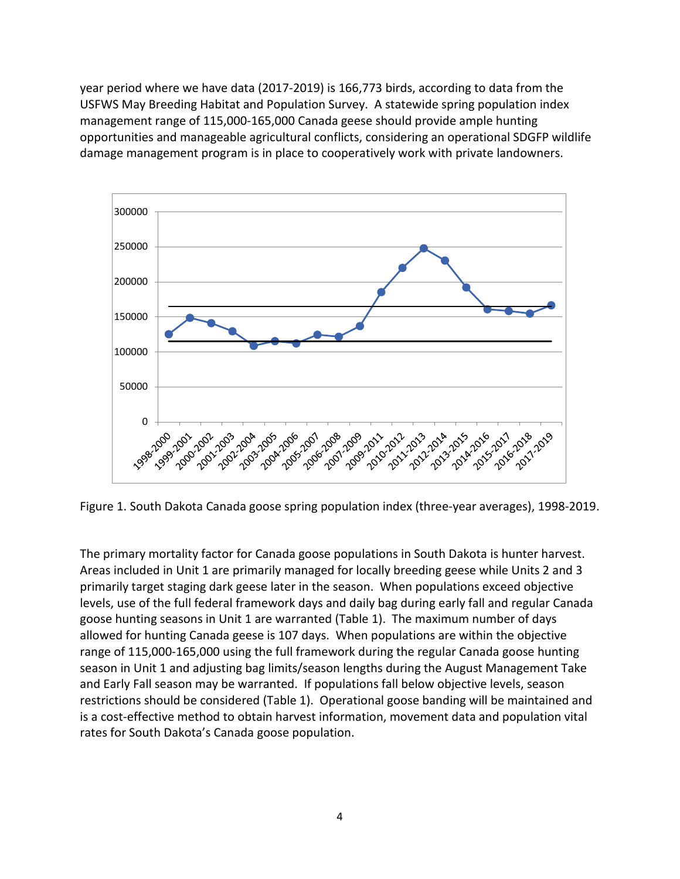year period where we have data (2017-2019) is 166,773 birds, according to data from the USFWS May Breeding Habitat and Population Survey. A statewide spring population index management range of 115,000-165,000 Canada geese should provide ample hunting opportunities and manageable agricultural conflicts, considering an operational SDGFP wildlife damage management program is in place to cooperatively work with private landowners.



Figure 1. South Dakota Canada goose spring population index (three-year averages), 1998-2019.

The primary mortality factor for Canada goose populations in South Dakota is hunter harvest. Areas included in Unit 1 are primarily managed for locally breeding geese while Units 2 and 3 primarily target staging dark geese later in the season. When populations exceed objective levels, use of the full federal framework days and daily bag during early fall and regular Canada goose hunting seasons in Unit 1 are warranted (Table 1). The maximum number of days allowed for hunting Canada geese is 107 days. When populations are within the objective range of 115,000-165,000 using the full framework during the regular Canada goose hunting season in Unit 1 and adjusting bag limits/season lengths during the August Management Take and Early Fall season may be warranted. If populations fall below objective levels, season restrictions should be considered (Table 1). Operational goose banding will be maintained and is a cost-effective method to obtain harvest information, movement data and population vital rates for South Dakota's Canada goose population.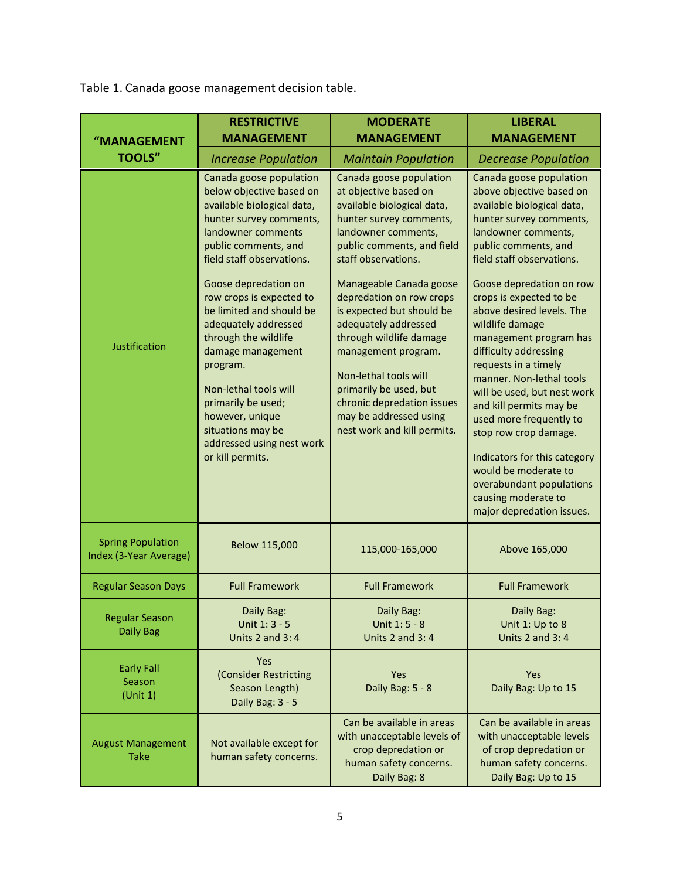Table 1. Canada goose management decision table.

|                                                    | <b>RESTRICTIVE</b><br><b>MANAGEMENT</b>                                                                                                                                                                                                                                                                                                                                                                                                                                                                                        | <b>MODERATE</b><br><b>MANAGEMENT</b>                                                                                                                                                                                                                                                                                                                                                                                                                                                                                        | <b>LIBERAL</b><br><b>MANAGEMENT</b>                                                                                                                                                                                                                                                                                                                                                                                                                                                                                                                                                                                                                                                        |
|----------------------------------------------------|--------------------------------------------------------------------------------------------------------------------------------------------------------------------------------------------------------------------------------------------------------------------------------------------------------------------------------------------------------------------------------------------------------------------------------------------------------------------------------------------------------------------------------|-----------------------------------------------------------------------------------------------------------------------------------------------------------------------------------------------------------------------------------------------------------------------------------------------------------------------------------------------------------------------------------------------------------------------------------------------------------------------------------------------------------------------------|--------------------------------------------------------------------------------------------------------------------------------------------------------------------------------------------------------------------------------------------------------------------------------------------------------------------------------------------------------------------------------------------------------------------------------------------------------------------------------------------------------------------------------------------------------------------------------------------------------------------------------------------------------------------------------------------|
| "MANAGEMENT<br><b>TOOLS"</b>                       |                                                                                                                                                                                                                                                                                                                                                                                                                                                                                                                                |                                                                                                                                                                                                                                                                                                                                                                                                                                                                                                                             |                                                                                                                                                                                                                                                                                                                                                                                                                                                                                                                                                                                                                                                                                            |
| Justification                                      | <b>Increase Population</b><br>Canada goose population<br>below objective based on<br>available biological data,<br>hunter survey comments,<br>landowner comments<br>public comments, and<br>field staff observations.<br>Goose depredation on<br>row crops is expected to<br>be limited and should be<br>adequately addressed<br>through the wildlife<br>damage management<br>program.<br>Non-lethal tools will<br>primarily be used;<br>however, unique<br>situations may be<br>addressed using nest work<br>or kill permits. | <b>Maintain Population</b><br>Canada goose population<br>at objective based on<br>available biological data,<br>hunter survey comments,<br>landowner comments,<br>public comments, and field<br>staff observations.<br>Manageable Canada goose<br>depredation on row crops<br>is expected but should be<br>adequately addressed<br>through wildlife damage<br>management program.<br>Non-lethal tools will<br>primarily be used, but<br>chronic depredation issues<br>may be addressed using<br>nest work and kill permits. | <b>Decrease Population</b><br>Canada goose population<br>above objective based on<br>available biological data,<br>hunter survey comments,<br>landowner comments,<br>public comments, and<br>field staff observations.<br>Goose depredation on row<br>crops is expected to be<br>above desired levels. The<br>wildlife damage<br>management program has<br>difficulty addressing<br>requests in a timely<br>manner. Non-lethal tools<br>will be used, but nest work<br>and kill permits may be<br>used more frequently to<br>stop row crop damage.<br>Indicators for this category<br>would be moderate to<br>overabundant populations<br>causing moderate to<br>major depredation issues. |
| <b>Spring Population</b><br>Index (3-Year Average) | Below 115,000                                                                                                                                                                                                                                                                                                                                                                                                                                                                                                                  | 115,000-165,000                                                                                                                                                                                                                                                                                                                                                                                                                                                                                                             | Above 165,000                                                                                                                                                                                                                                                                                                                                                                                                                                                                                                                                                                                                                                                                              |
| <b>Regular Season Days</b>                         | <b>Full Framework</b>                                                                                                                                                                                                                                                                                                                                                                                                                                                                                                          | <b>Full Framework</b>                                                                                                                                                                                                                                                                                                                                                                                                                                                                                                       | <b>Full Framework</b>                                                                                                                                                                                                                                                                                                                                                                                                                                                                                                                                                                                                                                                                      |
| <b>Regular Season</b><br><b>Daily Bag</b>          | Daily Bag:<br>Unit 1: 3 - 5<br><b>Units 2 and 3:4</b>                                                                                                                                                                                                                                                                                                                                                                                                                                                                          | Daily Bag:<br>Unit 1: 5 - 8<br>Units 2 and $3:4$                                                                                                                                                                                                                                                                                                                                                                                                                                                                            | Daily Bag:<br>Unit 1: Up to 8<br>Units $2$ and $3:4$                                                                                                                                                                                                                                                                                                                                                                                                                                                                                                                                                                                                                                       |
| <b>Early Fall</b><br>Season<br>(Unit 1)            | Yes<br>(Consider Restricting<br>Season Length)<br>Daily Bag: 3 - 5                                                                                                                                                                                                                                                                                                                                                                                                                                                             | Yes<br>Daily Bag: 5 - 8                                                                                                                                                                                                                                                                                                                                                                                                                                                                                                     | Yes<br>Daily Bag: Up to 15                                                                                                                                                                                                                                                                                                                                                                                                                                                                                                                                                                                                                                                                 |
| <b>August Management</b><br><b>Take</b>            | Not available except for<br>human safety concerns.                                                                                                                                                                                                                                                                                                                                                                                                                                                                             | Can be available in areas<br>with unacceptable levels of<br>crop depredation or<br>human safety concerns.<br>Daily Bag: 8                                                                                                                                                                                                                                                                                                                                                                                                   | Can be available in areas<br>with unacceptable levels<br>of crop depredation or<br>human safety concerns.<br>Daily Bag: Up to 15                                                                                                                                                                                                                                                                                                                                                                                                                                                                                                                                                           |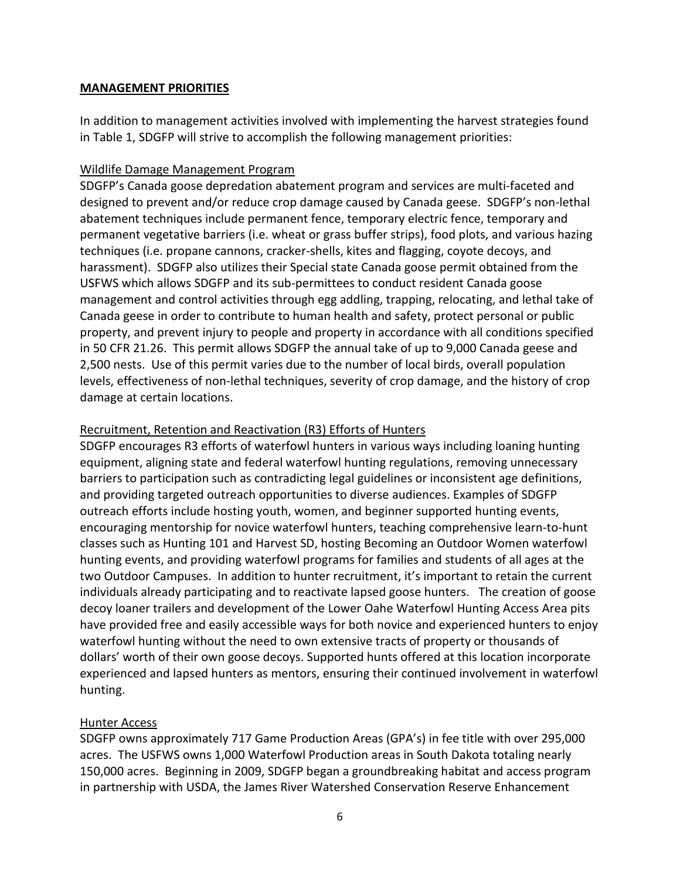## **MANAGEMENT PRIORITIES**

In addition to management activities involved with implementing the harvest strategies found in Table 1, SDGFP will strive to accomplish the following management priorities:

# Wildlife Damage Management Program

SDGFP's Canada goose depredation abatement program and services are multi-faceted and designed to prevent and/or reduce crop damage caused by Canada geese. SDGFP's non-lethal abatement techniques include permanent fence, temporary electric fence, temporary and permanent vegetative barriers (i.e. wheat or grass buffer strips), food plots, and various hazing techniques (i.e. propane cannons, cracker-shells, kites and flagging, coyote decoys, and harassment). SDGFP also utilizes their Special state Canada goose permit obtained from the USFWS which allows SDGFP and its sub-permittees to conduct resident Canada goose management and control activities through egg addling, trapping, relocating, and lethal take of Canada geese in order to contribute to human health and safety, protect personal or public property, and prevent injury to people and property in accordance with all conditions specified in 50 CFR 21.26. This permit allows SDGFP the annual take of up to 9,000 Canada geese and 2,500 nests. Use of this permit varies due to the number of local birds, overall population levels, effectiveness of non-lethal techniques, severity of crop damage, and the history of crop damage at certain locations.

# Recruitment, Retention and Reactivation (R3) Efforts of Hunters

SDGFP encourages R3 efforts of waterfowl hunters in various ways including loaning hunting equipment, aligning state and federal waterfowl hunting regulations, removing unnecessary barriers to participation such as contradicting legal guidelines or inconsistent age definitions, and providing targeted outreach opportunities to diverse audiences. Examples of SDGFP outreach efforts include hosting youth, women, and beginner supported hunting events, encouraging mentorship for novice waterfowl hunters, teaching comprehensive learn-to-hunt classes such as Hunting 101 and Harvest SD, hosting Becoming an Outdoor Women waterfowl hunting events, and providing waterfowl programs for families and students of all ages at the two Outdoor Campuses. In addition to hunter recruitment, it's important to retain the current individuals already participating and to reactivate lapsed goose hunters. The creation of goose decoy loaner trailers and development of the Lower Oahe Waterfowl Hunting Access Area pits have provided free and easily accessible ways for both novice and experienced hunters to enjoy waterfowl hunting without the need to own extensive tracts of property or thousands of dollars' worth of their own goose decoys. Supported hunts offered at this location incorporate experienced and lapsed hunters as mentors, ensuring their continued involvement in waterfowl hunting.

## Hunter Access

SDGFP owns approximately 717 Game Production Areas (GPA's) in fee title with over 295,000 acres. The USFWS owns 1,000 Waterfowl Production areas in South Dakota totaling nearly 150,000 acres. Beginning in 2009, SDGFP began a groundbreaking habitat and access program in partnership with USDA, the James River Watershed Conservation Reserve Enhancement